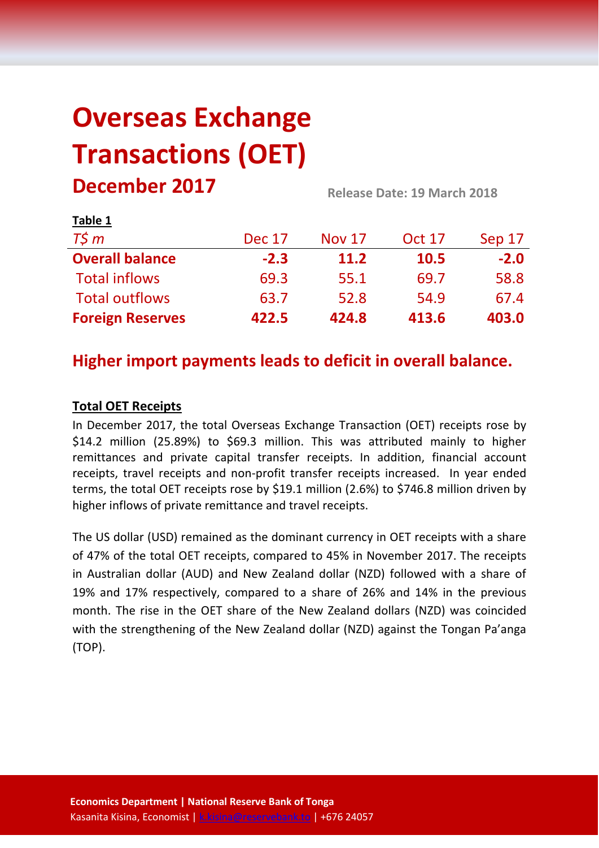# **Overseas Exchange Transactions (OET) December 2017 Release Date: 19 March <sup>2018</sup>**

| $1800 - 1$              |               |               |               |        |  |
|-------------------------|---------------|---------------|---------------|--------|--|
| $T\zeta m$              | <b>Dec 17</b> | <b>Nov 17</b> | <b>Oct 17</b> | Sep 17 |  |
| <b>Overall balance</b>  | $-2.3$        | 11.2          | 10.5          | $-2.0$ |  |
| <b>Total inflows</b>    | 69.3          | 55.1          | 69.7          | 58.8   |  |
| <b>Total outflows</b>   | 63.7          | 52.8          | 54.9          | 67.4   |  |
| <b>Foreign Reserves</b> | 422.5         | 424.8         | 413.6         | 403.0  |  |

# **Higher import payments leads to deficit in overall balance.**

## **Total OET Receipts**

**Table 1**

In December 2017, the total Overseas Exchange Transaction (OET) receipts rose by \$14.2 million (25.89%) to \$69.3 million. This was attributed mainly to higher remittances and private capital transfer receipts. In addition, financial account receipts, travel receipts and non-profit transfer receipts increased. In year ended terms, the total OET receipts rose by \$19.1 million (2.6%) to \$746.8 million driven by higher inflows of private remittance and travel receipts.

The US dollar (USD) remained as the dominant currency in OET receipts with a share of 47% of the total OET receipts, compared to 45% in November 2017. The receipts in Australian dollar (AUD) and New Zealand dollar (NZD) followed with a share of 19% and 17% respectively, compared to a share of 26% and 14% in the previous month. The rise in the OET share of the New Zealand dollars (NZD) was coincided with the strengthening of the New Zealand dollar (NZD) against the Tongan Pa'anga (TOP).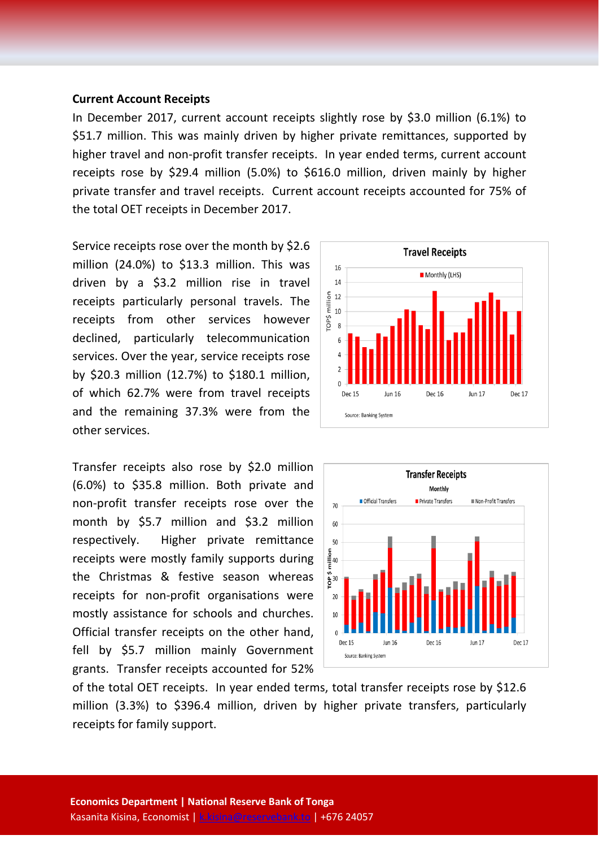#### **Current Account Receipts**

In December 2017, current account receipts slightly rose by \$3.0 million (6.1%) to \$51.7 million. This was mainly driven by higher private remittances, supported by higher travel and non-profit transfer receipts. In year ended terms, current account receipts rose by \$29.4 million (5.0%) to \$616.0 million, driven mainly by higher private transfer and travel receipts. Current account receipts accounted for 75% of the total OET receipts in December 2017.

Service receipts rose over the month by \$2.6 million (24.0%) to \$13.3 million. This was driven by a \$3.2 million rise in travel receipts particularly personal travels. The receipts from other services however declined, particularly telecommunication services. Over the year, service receipts rose by \$20.3 million (12.7%) to \$180.1 million, of which 62.7% were from travel receipts and the remaining 37.3% were from the other services.

Transfer receipts also rose by \$2.0 million (6.0%) to \$35.8 million. Both private and non-profit transfer receipts rose over the month by \$5.7 million and \$3.2 million respectively. Higher private remittance receipts were mostly family supports during the Christmas & festive season whereas receipts for non-profit organisations were mostly assistance for schools and churches. Official transfer receipts on the other hand, fell by \$5.7 million mainly Government grants. Transfer receipts accounted for 52%





of the total OET receipts. In year ended terms, total transfer receipts rose by \$12.6 million (3.3%) to \$396.4 million, driven by higher private transfers, particularly receipts for family support.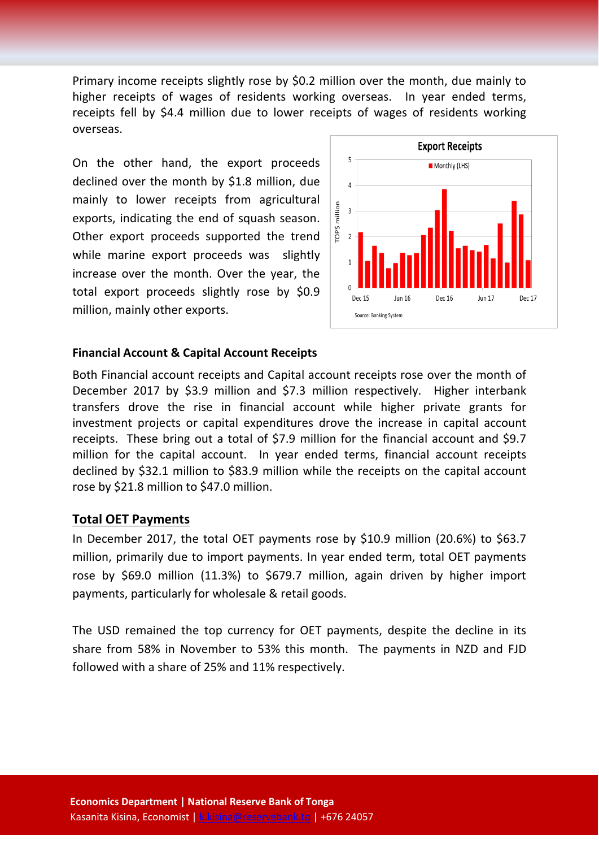Primary income receipts slightly rose by \$0.2 million over the month, due mainly to higher receipts of wages of residents working overseas. In year ended terms, receipts fell by \$4.4 million due to lower receipts of wages of residents working overseas.

On the other hand, the export proceeds declined over the month by \$1.8 million, due mainly to lower receipts from agricultural exports, indicating the end of squash season. Other export proceeds supported the trend while marine export proceeds was slightly increase over the month. Over the year, the total export proceeds slightly rose by \$0.9 million, mainly other exports.



#### **Financial Account & Capital Account Receipts**

Both Financial account receipts and Capital account receipts rose over the month of December 2017 by \$3.9 million and \$7.3 million respectively. Higher interbank transfers drove the rise in financial account while higher private grants for investment projects or capital expenditures drove the increase in capital account receipts. These bring out a total of \$7.9 million for the financial account and \$9.7 million for the capital account. In year ended terms, financial account receipts declined by \$32.1 million to \$83.9 million while the receipts on the capital account rose by \$21.8 million to \$47.0 million.

#### **Total OET Payments**

In December 2017, the total OET payments rose by \$10.9 million (20.6%) to \$63.7 million, primarily due to import payments. In year ended term, total OET payments rose by \$69.0 million (11.3%) to \$679.7 million, again driven by higher import payments, particularly for wholesale & retail goods.

The USD remained the top currency for OET payments, despite the decline in its share from 58% in November to 53% this month. The payments in NZD and FJD followed with a share of 25% and 11% respectively.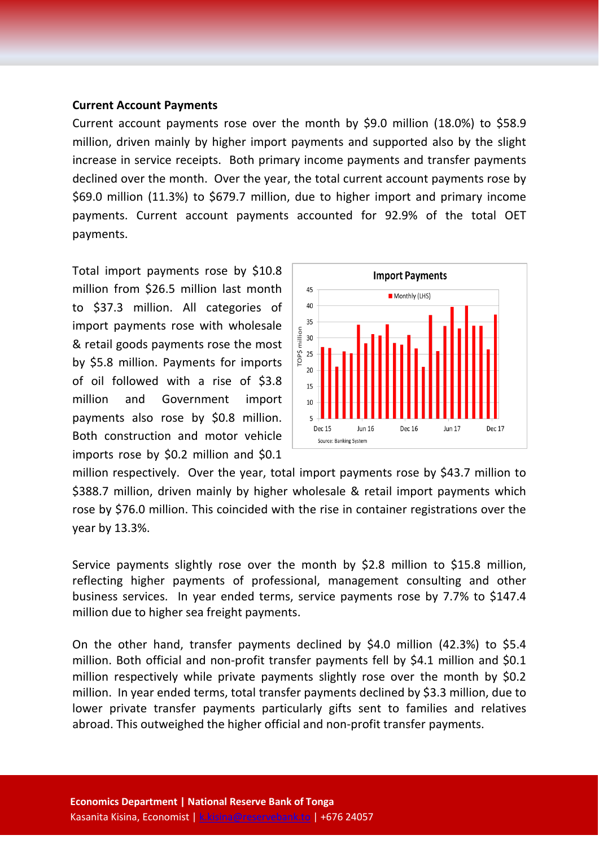#### **Current Account Payments**

Current account payments rose over the month by \$9.0 million (18.0%) to \$58.9 million, driven mainly by higher import payments and supported also by the slight increase in service receipts. Both primary income payments and transfer payments declined over the month. Over the year, the total current account payments rose by \$69.0 million (11.3%) to \$679.7 million, due to higher import and primary income payments. Current account payments accounted for 92.9% of the total OET payments.

Total import payments rose by \$10.8 million from \$26.5 million last month to \$37.3 million. All categories of import payments rose with wholesale & retail goods payments rose the most by \$5.8 million. Payments for imports of oil followed with a rise of \$3.8 million and Government import payments also rose by \$0.8 million. Both construction and motor vehicle imports rose by \$0.2 million and \$0.1



million respectively. Over the year, total import payments rose by \$43.7 million to \$388.7 million, driven mainly by higher wholesale & retail import payments which rose by \$76.0 million. This coincided with the rise in container registrations over the year by 13.3%.

Service payments slightly rose over the month by \$2.8 million to \$15.8 million, reflecting higher payments of professional, management consulting and other business services. In year ended terms, service payments rose by 7.7% to \$147.4 million due to higher sea freight payments.

On the other hand, transfer payments declined by \$4.0 million (42.3%) to \$5.4 million. Both official and non-profit transfer payments fell by \$4.1 million and \$0.1 million respectively while private payments slightly rose over the month by \$0.2 million. In year ended terms, total transfer payments declined by \$3.3 million, due to lower private transfer payments particularly gifts sent to families and relatives abroad. This outweighed the higher official and non-profit transfer payments.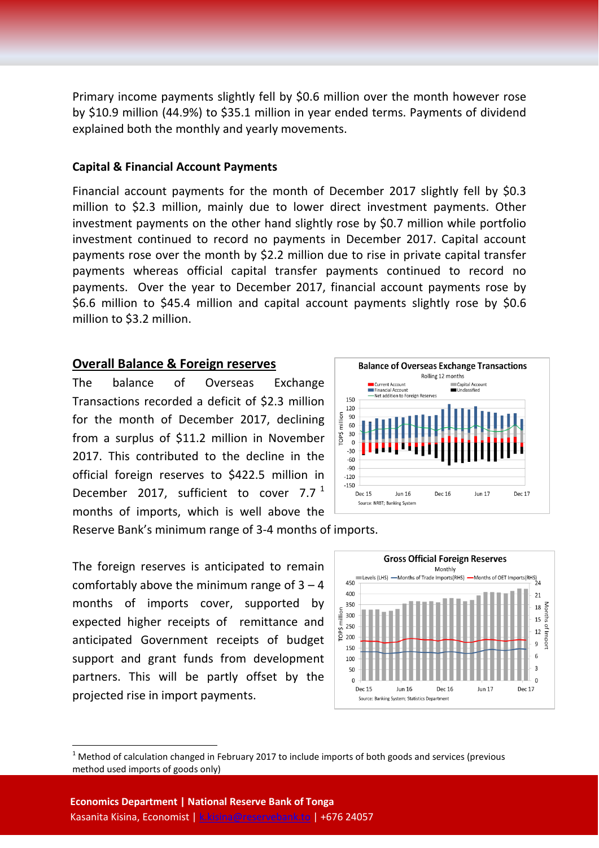Primary income payments slightly fell by \$0.6 million over the month however rose by \$10.9 million (44.9%) to \$35.1 million in year ended terms. Payments of dividend explained both the monthly and yearly movements.

#### **Capital & Financial Account Payments**

Financial account payments for the month of December 2017 slightly fell by \$0.3 million to \$2.3 million, mainly due to lower direct investment payments. Other investment payments on the other hand slightly rose by \$0.7 million while portfolio investment continued to record no payments in December 2017. Capital account payments rose over the month by \$2.2 million due to rise in private capital transfer payments whereas official capital transfer payments continued to record no payments. Over the year to December 2017, financial account payments rose by \$6.6 million to \$45.4 million and capital account payments slightly rose by \$0.6 million to \$3.2 million.

#### **Overall Balance & Foreign reserves**

The balance of Overseas Exchange Transactions recorded a deficit of \$2.3 million for the month of December 2017, declining from a surplus of \$11.2 million in November 2017. This contributed to the decline in the official foreign reserves to \$422.5 million in December 20[1](#page-4-0)7, sufficient to cover  $7.7<sup>1</sup>$ months of imports, which is well above the



Reserve Bank's minimum range of 3-4 months of imports.

The foreign reserves is anticipated to remain comfortably above the minimum range of  $3 - 4$ months of imports cover, supported by expected higher receipts of remittance and anticipated Government receipts of budget support and grant funds from development partners. This will be partly offset by the projected rise in import payments.



<span id="page-4-0"></span> $1$  Method of calculation changed in February 2017 to include imports of both goods and services (previous method used imports of goods only)